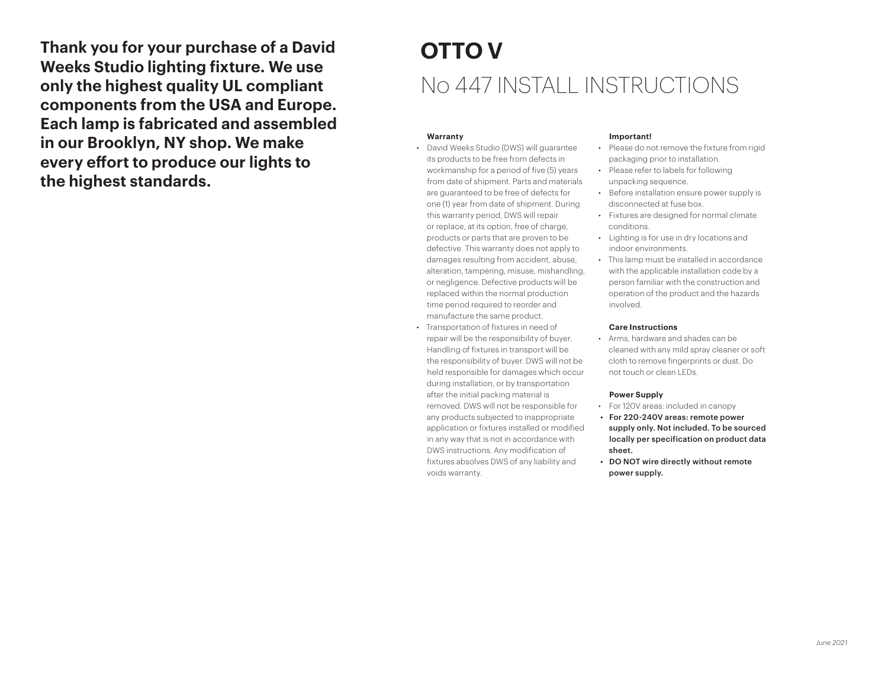**Thank you for your purchase of a David Weeks Studio lighting fixture. We use only the highest quality UL compliant components from the USA and Europe. Each lamp is fabricated and assembled in our Brooklyn, NY shop. We make every effort to produce our lights to the highest standards.**

# **OTTO V** No 447 INSTALL INSTRUCTIONS

### **Warranty**

• David Weeks Studio (DWS) will guarantee its products to be free from defects in workmanship for a period of five (5) years from date of shipment. Parts and materials are guaranteed to be free of defects for one (1) year from date of shipment. During this warranty period, DWS will repair or replace, at its option, free of charge, products or parts that are proven to be defective. This warranty does not apply to damages resulting from accident, abuse, alteration, tampering, misuse, mishandling, or negligence. Defective products will be replaced within the normal production time period required to reorder and manufacture the same product.

• Transportation of fixtures in need of repair will be the responsibility of buyer. Handling of fixtures in transport will be the responsibility of buyer. DWS will not be held responsible for damages which occur during installation, or by transportation after the initial packing material is removed. DWS will not be responsible for any products subjected to inappropriate application or fixtures installed or modified in any way that is not in accordance with DWS instructions. Any modification of fixtures absolves DWS of any liability and voids warranty.

#### **Important!**

- Please do not remove the fixture from rigid packaging prior to installation.
- Please refer to labels for following unpacking sequence.
- Before installation ensure power supply is disconnected at fuse box.
- Fixtures are designed for normal climate conditions.
- Lighting is for use in dry locations and indoor environments.
- This lamp must be installed in accordance with the applicable installation code by a person familiar with the construction and operation of the product and the hazards involved.

#### **Care Instructions**

• Arms, hardware and shades can be cleaned with any mild spray cleaner or soft cloth to remove fingerprints or dust. Do not touch or clean LEDs.

#### **Power Supply**

- For 120V areas: included in canopy
- For 220-240V areas: remote power supply only. Not included. To be sourced locally per specification on product data sheet.
- DO NOT wire directly without remote power supply.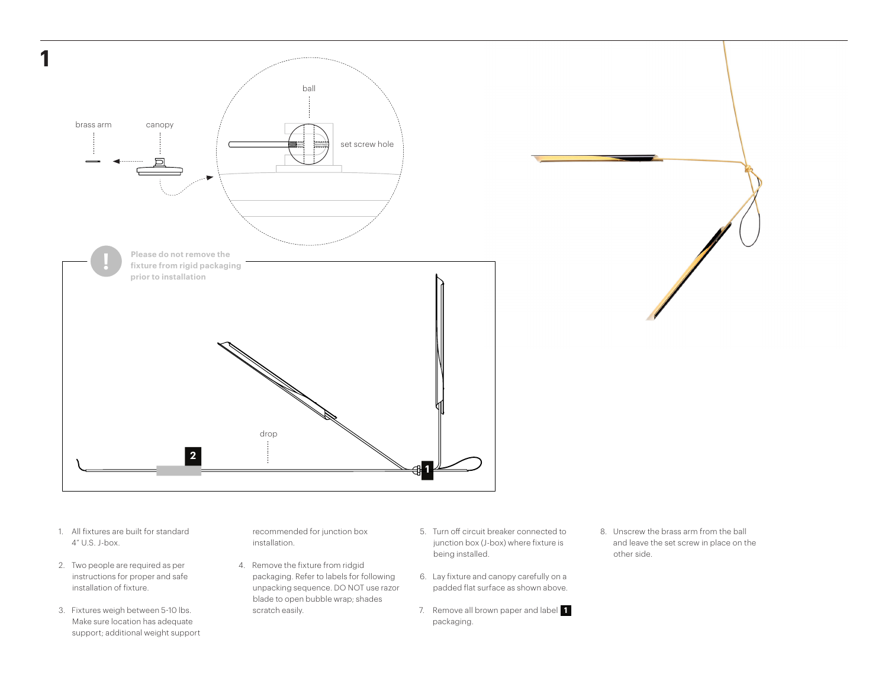

- 1. All fixtures are built for standard 4" U.S. J-box.
- 2. Two people are required as per instructions for proper and safe installation of fixture.
- 3. Fixtures weigh between 5-10 lbs. Make sure location has adequate support; additional weight support

recommended for junction box installation.

- 4. Remove the fixture from ridgid packaging. Refer to labels for following unpacking sequence. DO NOT use razor blade to open bubble wrap; shades scratch easily.
- 5. Turn off circuit breaker connected to junction box (J-box) where fixture is being installed.
- 6. Lay fixture and canopy carefully on a padded flat surface as shown above.
- 7. Remove all brown paper and label **1**  packaging.
- 8. Unscrew the brass arm from the ball and leave the set screw in place on the other side.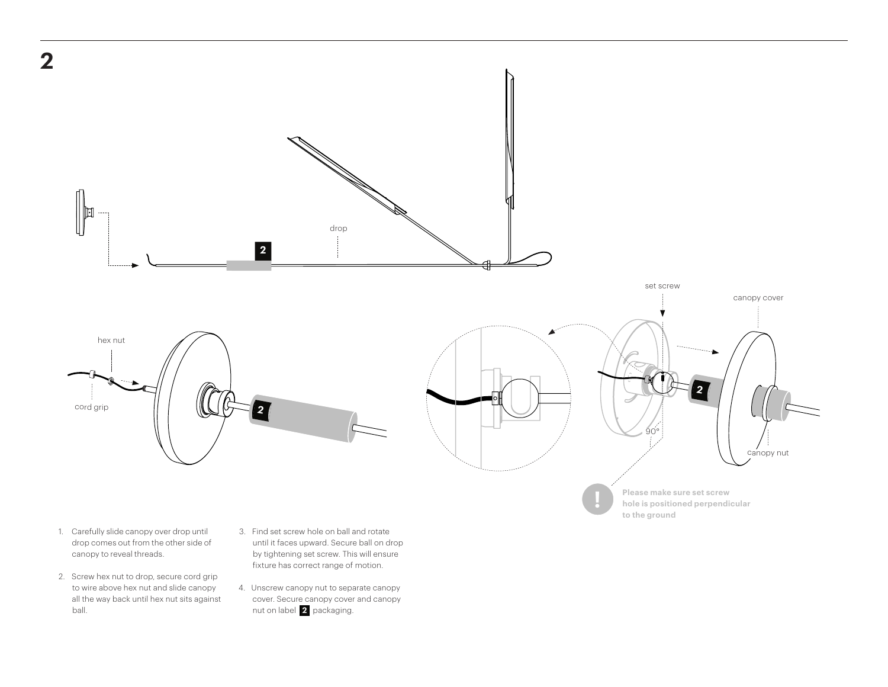

- 1. Carefully slide canopy over drop until drop comes out from the other side of canopy to reveal threads.
- 2. Screw hex nut to drop, secure cord grip to wire above hex nut and slide canopy all the way back until hex nut sits against ball.
- 3. Find set screw hole on ball and rotate until it faces upward. Secure ball on drop by tightening set screw. This will ensure fixture has correct range of motion.
- 4. Unscrew canopy nut to separate canopy cover. Secure canopy cover and canopy nut on label **2** packaging.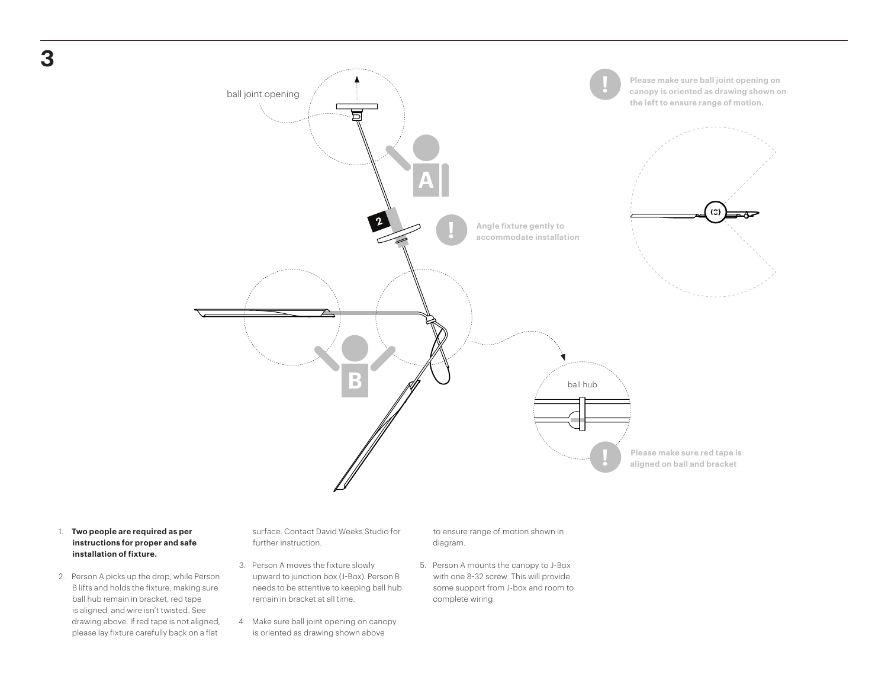

## 1. **Two people are required as per instructions for proper and safe installation of fixture.**

2. Person A picks up the drop, while Person B lifts and holds the fixture, making sure ball hub remain in bracket, red tape is aligned, and wire isn't twisted. See drawing above. If red tape is not aligned, please lay fixture carefully back on a flat

surface. Contact David Weeks Studio for further instruction.

- 3. Person A moves the fixture slowly upward to junction box (J-Box). Person B needs to be attentive to keeping ball hub remain in bracket at all time.
- 4. Make sure ball joint opening on canopy is oriented as drawing shown above

to ensure range of motion shown in diagram.

5. Person A mounts the canopy to J-Box with one 8-32 screw. This will provide some support from J-box and room to complete wiring.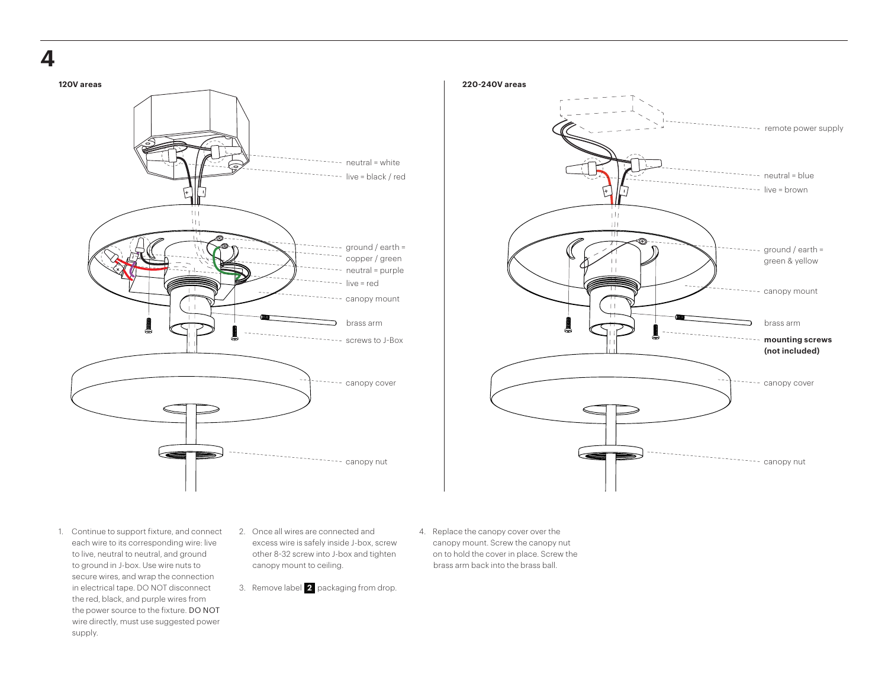





- 1. Continue to support fixture, and connect each wire to its corresponding wire: live to live, neutral to neutral, and ground to ground in J-box. Use wire nuts to secure wires, and wrap the connection in electrical tape. DO NOT disconnect the red, black, and purple wires from the power source to the fixture. DO NOT wire directly, must use suggested power supply.
- 2. Once all wires are connected and excess wire is safely inside J-box, screw other 8-32 screw into J-box and tighten canopy mount to ceiling.
- 3. Remove label **2** packaging from drop.
- 4. Replace the canopy cover over the canopy mount. Screw the canopy nut on to hold the cover in place. Screw the brass arm back into the brass ball.